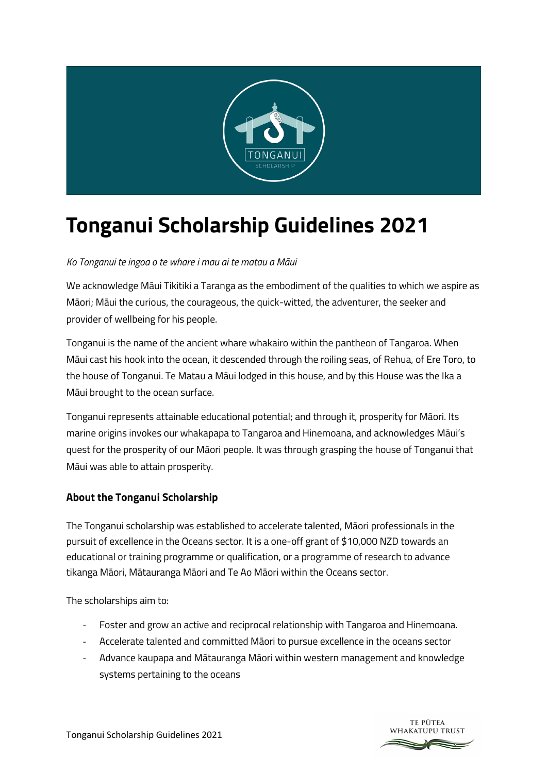

# **Tonganui Scholarship Guidelines 2021**

*Ko Tonganui te ingoa o te whare i mau ai te matau a Māui*

We acknowledge Māui Tikitiki a Taranga as the embodiment of the qualities to which we aspire as Māori; Māui the curious, the courageous, the quick-witted, the adventurer, the seeker and provider of wellbeing for his people.

Tonganui is the name of the ancient whare whakairo within the pantheon of Tangaroa. When Māui cast his hook into the ocean, it descended through the roiling seas, of Rehua, of Ere Toro, to the house of Tonganui. Te Matau a Māui lodged in this house, and by this House was the Ika a Māui brought to the ocean surface.

Tonganui represents attainable educational potential; and through it, prosperity for Māori. Its marine origins invokes our whakapapa to Tangaroa and Hinemoana, and acknowledges Māui's quest for the prosperity of our Māori people. It was through grasping the house of Tonganui that Māui was able to attain prosperity.

# **About the Tonganui Scholarship**

The Tonganui scholarship was established to accelerate talented, Māori professionals in the pursuit of excellence in the Oceans sector. It is a one-off grant of \$10,000 NZD towards an educational or training programme or qualification, or a programme of research to advance tikanga Māori, Mātauranga Māori and Te Ao Māori within the Oceans sector.

The scholarships aim to:

- Foster and grow an active and reciprocal relationship with Tangaroa and Hinemoana.
- Accelerate talented and committed Māori to pursue excellence in the oceans sector
- Advance kaupapa and Mātauranga Māori within western management and knowledge systems pertaining to the oceans

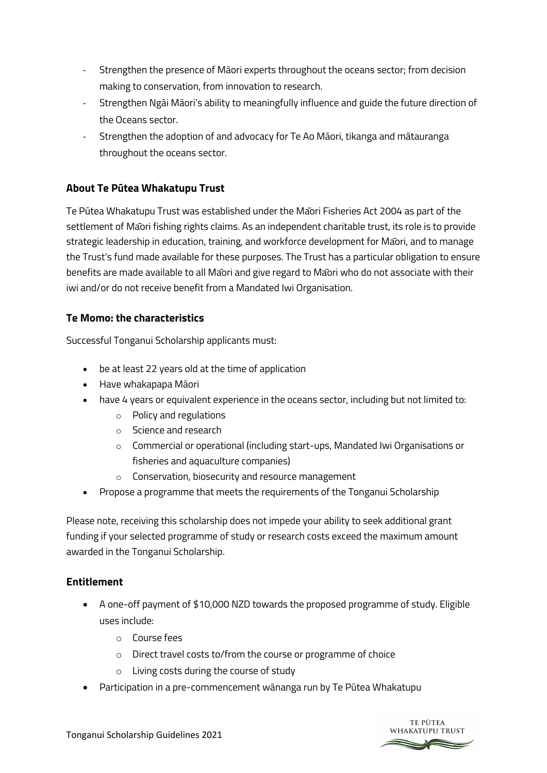- Strengthen the presence of Māori experts throughout the oceans sector; from decision making to conservation, from innovation to research.
- Strengthen Ngāi Māori's ability to meaningfully influence and guide the future direction of the Oceans sector.
- Strengthen the adoption of and advocacy for Te Ao Māori, tikanga and mātauranga throughout the oceans sector.

# **About Te Pūtea Whakatupu Trust**

Te Pūtea Whakatupu Trust was established under the Māori Fisheries Act 2004 as part of the settlement of Māori fishing rights claims. As an independent charitable trust, its role is to provide strategic leadership in education, training, and workforce development for Māori, and to manage the Trust's fund made available for these purposes. The Trust has a particular obligation to ensure benefits are made available to all Māori and give regard to Māori who do not associate with their iwi and/or do not receive benefit from a Mandated Iwi Organisation.

#### **Te Momo: the characteristics**

Successful Tonganui Scholarship applicants must:

- be at least 22 years old at the time of application
- Have whakapapa Māori
- have 4 years or equivalent experience in the oceans sector, including but not limited to:
	- o Policy and regulations
	- o Science and research
	- o Commercial or operational (including start-ups, Mandated Iwi Organisations or fisheries and aquaculture companies)
	- o Conservation, biosecurity and resource management
- Propose a programme that meets the requirements of the Tonganui Scholarship

Please note, receiving this scholarship does not impede your ability to seek additional grant funding if your selected programme of study or research costs exceed the maximum amount awarded in the Tonganui Scholarship.

#### **Entitlement**

- A one-off payment of \$10,000 NZD towards the proposed programme of study. Eligible uses include:
	- o Course fees
	- o Direct travel costs to/from the course or programme of choice
	- o Living costs during the course of study
- Participation in a pre-commencement wānanga run by Te Pūtea Whakatupu

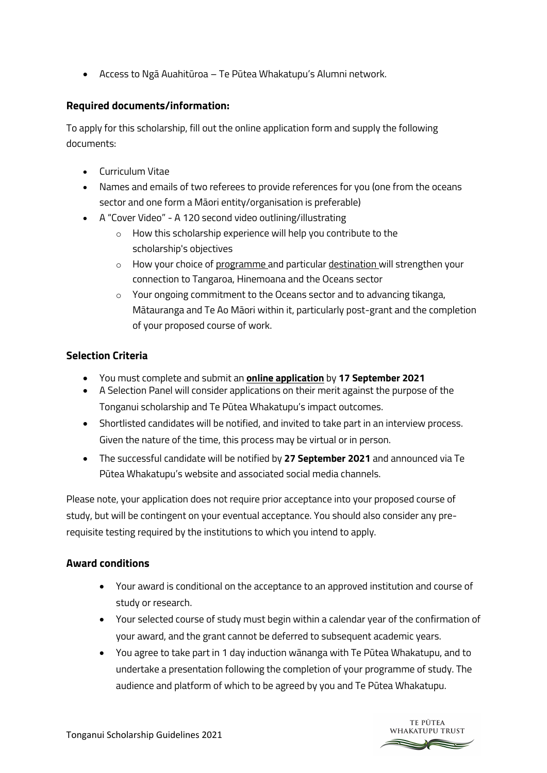• Access to Ngā Auahitūroa – Te Pūtea Whakatupu's Alumni network.

### **Required documents/information:**

To apply for this scholarship, fill out the online application form and supply the following documents:

- Curriculum Vitae
- Names and emails of two referees to provide references for you (one from the oceans sector and one form a Māori entity/organisation is preferable)
- A "Cover Video" A 120 second video outlining/illustrating
	- o How this scholarship experience will help you contribute to the scholarship's objectives
	- $\circ$  How your choice of programme and particular destination will strengthen your connection to Tangaroa, Hinemoana and the Oceans sector
	- o Your ongoing commitment to the Oceans sector and to advancing tikanga, Mātauranga and Te Ao Māori within it, particularly post-grant and the completion of your proposed course of work.

## **Selection Criteria**

- You must complete and submit an **online application** by **17 September 2021**
- A Selection Panel will consider applications on their merit against the purpose of the Tonganui scholarship and Te Pūtea Whakatupu's impact outcomes.
- Shortlisted candidates will be notified, and invited to take part in an interview process. Given the nature of the time, this process may be virtual or in person.
- The successful candidate will be notified by **27 September 2021** and announced via Te Pūtea Whakatupu's website and associated social media channels.

Please note, your application does not require prior acceptance into your proposed course of study, but will be contingent on your eventual acceptance. You should also consider any prerequisite testing required by the institutions to which you intend to apply.

#### **Award conditions**

- Your award is conditional on the acceptance to an approved institution and course of study or research.
- Your selected course of study must begin within a calendar year of the confirmation of your award, and the grant cannot be deferred to subsequent academic years.
- You agree to take part in 1 day induction wānanga with Te Pūtea Whakatupu, and to undertake a presentation following the completion of your programme of study. The audience and platform of which to be agreed by you and Te Pūtea Whakatupu.